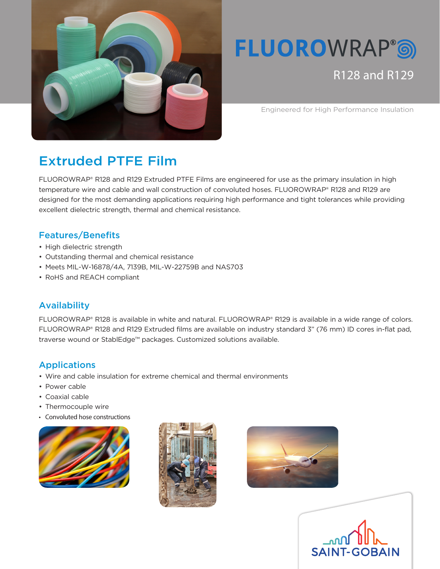

# **FLUOROWRAP®®**

R128 and R129

Engineered for High Performance Insulation

# Extruded PTFE Film

FLUOROWRAP® R128 and R129 Extruded PTFE Films are engineered for use as the primary insulation in high temperature wire and cable and wall construction of convoluted hoses. FLUOROWRAP® R128 and R129 are designed for the most demanding applications requiring high performance and tight tolerances while providing excellent dielectric strength, thermal and chemical resistance.

#### Features/Benefits

- High dielectric strength
- Outstanding thermal and chemical resistance
- Meets MIL-W-16878/4A, 7139B, MIL-W-22759B and NAS703
- RoHS and REACH compliant

## Availability

FLUOROWRAP® R128 is available in white and natural. FLUOROWRAP® R129 is available in a wide range of colors. FLUOROWRAP® R128 and R129 Extruded films are available on industry standard 3" (76 mm) ID cores in-flat pad, traverse wound or StablEdge™ packages. Customized solutions available.

## Applications

- Wire and cable insulation for extreme chemical and thermal environments
- Power cable
- Coaxial cable
- Thermocouple wire
- Convoluted hose constructions